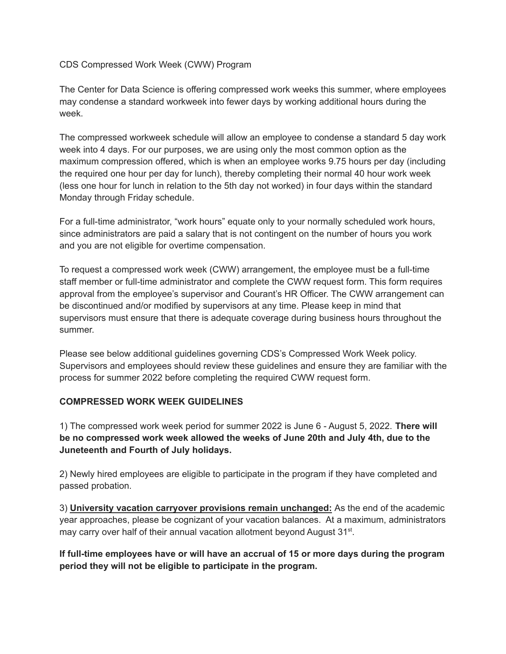CDS Compressed Work Week (CWW) Program

The Center for Data Science is offering compressed work weeks this summer, where employees may condense a standard workweek into fewer days by working additional hours during the week.

The compressed workweek schedule will allow an employee to condense a standard 5 day work week into 4 days. For our purposes, we are using only the most common option as the maximum compression offered, which is when an employee works 9.75 hours per day (including the required one hour per day for lunch), thereby completing their normal 40 hour work week (less one hour for lunch in relation to the 5th day not worked) in four days within the standard Monday through Friday schedule.

For a full-time administrator, "work hours" equate only to your normally scheduled work hours, since administrators are paid a salary that is not contingent on the number of hours you work and you are not eligible for overtime compensation.

To request a compressed work week (CWW) arrangement, the employee must be a full-time staff member or full-time administrator and complete the CWW request form. This form requires approval from the employee's supervisor and Courant's HR Officer. The CWW arrangement can be discontinued and/or modified by supervisors at any time. Please keep in mind that supervisors must ensure that there is adequate coverage during business hours throughout the summer.

Please see below additional guidelines governing CDS's Compressed Work Week policy. Supervisors and employees should review these guidelines and ensure they are familiar with the process for summer 2022 before completing the required CWW request form.

## **COMPRESSED WORK WEEK GUIDELINES**

1) The compressed work week period for summer 2022 is June 6 - August 5, 2022. **There will be no compressed work week allowed the weeks of June 20th and July 4th, due to the Juneteenth and Fourth of July holidays.**

2) Newly hired employees are eligible to participate in the program if they have completed and passed probation.

3) **University vacation carryover provisions remain unchanged:** As the end of the academic year approaches, please be cognizant of your vacation balances. At a maximum, administrators may carry over half of their annual vacation allotment beyond August 31<sup>st</sup>.

**If full-time employees have or will have an accrual of 15 or more days during the program period they will not be eligible to participate in the program.**